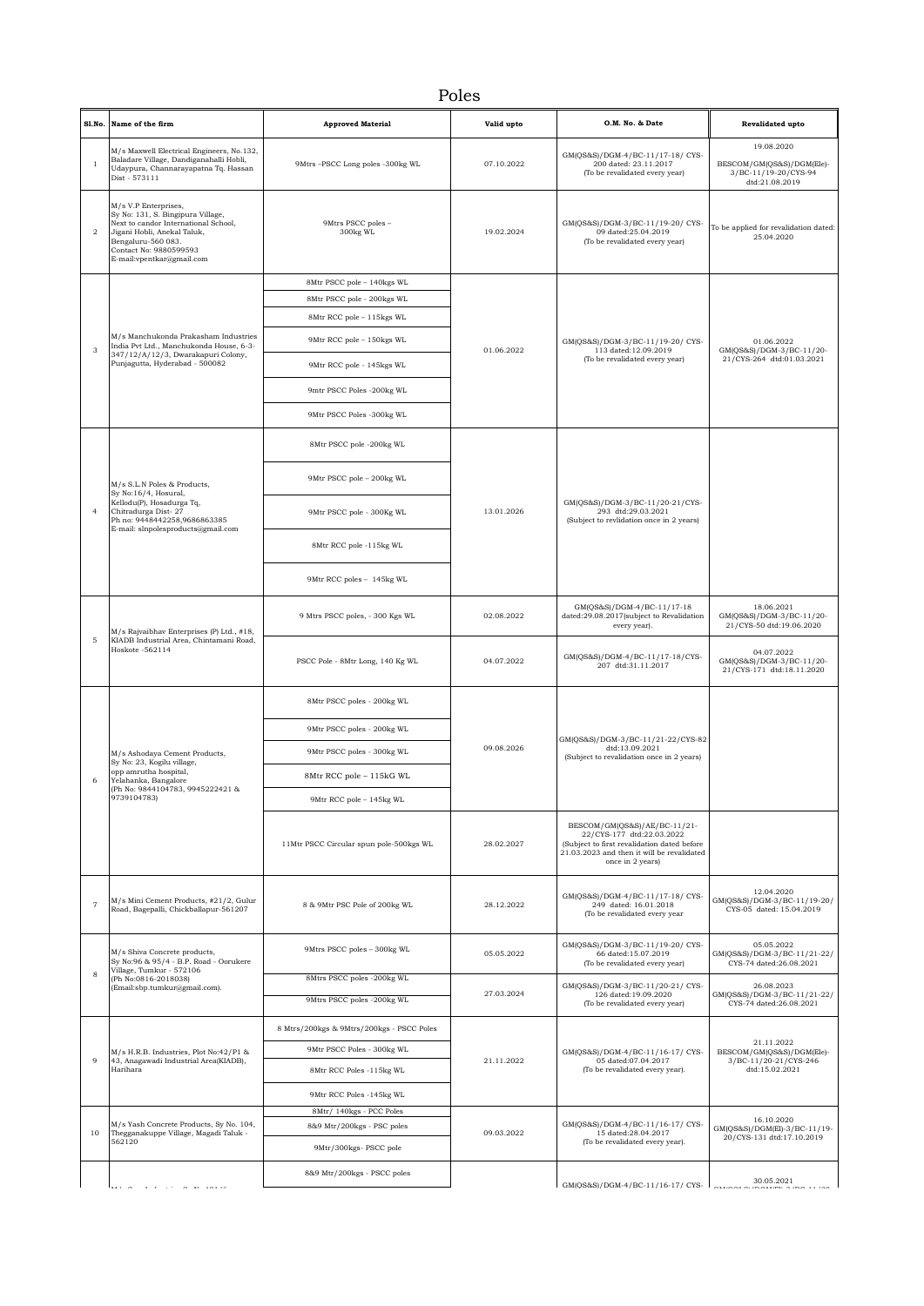| Sl.No.         | Name of the firm                                                                                                                                                                                              | <b>Approved Material</b>                               | Valid upto | O.M. No. & Date                                                                                                                                                            | Revalidated upto                                                                   |
|----------------|---------------------------------------------------------------------------------------------------------------------------------------------------------------------------------------------------------------|--------------------------------------------------------|------------|----------------------------------------------------------------------------------------------------------------------------------------------------------------------------|------------------------------------------------------------------------------------|
| $\mathbf{1}$   | M/s Maxwell Electrical Engineers, No.132,<br>Baladare Village, Dandiganahalli Hobli,<br>Udaypura, Channarayapatna Tq. Hassan<br>Dist - 573111                                                                 | 9Mtrs-PSCC Long poles -300kg WL                        | 07.10.2022 | GM(QS&S)/DGM-4/BC-11/17-18/CYS-<br>200 dated: 23.11.2017<br>(To be revalidated every year)                                                                                 | 19.08.2020<br>BESCOM/GM(QS&S)/DGM(Ele)-<br>3/BC-11/19-20/CYS-94<br>dtd:21.08.2019  |
| $\overline{2}$ | M/s V.P Enterprises,<br>Sy No: 131, S. Bingipura Village,<br>Next to candor International School,<br>Jigani Hobli, Anekal Taluk,<br>Bengaluru-560 083.<br>Contact No: 9880599593<br>E-mail:vpentkar@gmail.com | 9Mtrs PSCC poles -<br>300kg WL                         | 19.02.2024 | GM(QS&S)/DGM-3/BC-11/19-20/ CYS-<br>09 dated:25.04.2019<br>(To be revalidated every year)                                                                                  | To be applied for revalidation dated:<br>25.04.2020                                |
|                | M/s Manchukonda Prakasham Industries<br>India Pvt Ltd., Manchukonda House, 6-3-<br>347/12/A/12/3, Dwarakapuri Colony,                                                                                         | 8Mtr PSCC pole - 140kgs WL                             | 01.06.2022 | GM(QS&S)/DGM-3/BC-11/19-20/ CYS-<br>113 dated:12.09.2019                                                                                                                   |                                                                                    |
|                |                                                                                                                                                                                                               | 8Mtr PSCC pole - 200kgs WL                             |            |                                                                                                                                                                            |                                                                                    |
|                |                                                                                                                                                                                                               | 8Mtr RCC pole - 115kgs WL                              |            |                                                                                                                                                                            |                                                                                    |
| 3              |                                                                                                                                                                                                               | 9Mtr RCC pole - 150kgs WL                              |            |                                                                                                                                                                            | 01.06.2022<br>GM(QS&S)/DGM-3/BC-11/20-<br>21/CYS-264 dtd:01.03.2021                |
|                | Punjagutta, Hyderabad - 500082                                                                                                                                                                                | 9Mtr RCC pole - 145kgs WL                              |            | (To be revalidated every year)                                                                                                                                             |                                                                                    |
|                |                                                                                                                                                                                                               | 9mtr PSCC Poles -200kg WL                              |            |                                                                                                                                                                            |                                                                                    |
|                |                                                                                                                                                                                                               | 9Mtr PSCC Poles -300kg WL                              |            |                                                                                                                                                                            |                                                                                    |
|                |                                                                                                                                                                                                               | 8Mtr PSCC pole -200kg WL                               |            |                                                                                                                                                                            |                                                                                    |
|                | M/s S.L.N Poles & Products,<br>Sy No:16/4, Hosural,                                                                                                                                                           | 9Mtr PSCC pole - 200kg WL                              |            | GM(QS&S)/DGM-3/BC-11/20-21/CYS-<br>293 dtd:29.03.2021<br>(Subject to revlidation once in 2 years)                                                                          |                                                                                    |
| $\overline{4}$ | Kellodu(P), Hosadurga Tq,<br>Chitradurga Dist-27<br>Ph no: 9448442258,9686863385                                                                                                                              | 9Mtr PSCC pole - 300Kg WL                              | 13.01.2026 |                                                                                                                                                                            |                                                                                    |
|                | E-mail: slnpolesproducts@gmail.com                                                                                                                                                                            | 8Mtr RCC pole -115kg WL                                |            |                                                                                                                                                                            |                                                                                    |
|                |                                                                                                                                                                                                               | 9Mtr RCC poles - 145kg WL                              |            |                                                                                                                                                                            |                                                                                    |
|                | M/s Rajvaibhav Enterprises (P) Ltd., #18,<br>KIADB Industrial Area, Chintamani Road,<br>Hoskote -562114                                                                                                       | 9 Mtrs PSCC poles, - 300 Kgs WL                        | 02.08.2022 | GM(QS&S)/DGM-4/BC-11/17-18<br>dated:29.08.2017(subject to Revalidation<br>every year).                                                                                     | 18.06.2021<br>GM(QS&S)/DGM-3/BC-11/20-<br>21/CYS-50 dtd:19.06.2020                 |
| 5              |                                                                                                                                                                                                               | PSCC Pole - 8Mtr Long, 140 Kg WL                       | 04.07.2022 | GM(QS&S)/DGM-4/BC-11/17-18/CYS-<br>207 dtd:31.11.2017                                                                                                                      | 04.07.2022<br>GM(QS&S)/DGM-3/BC-11/20-<br>21/CYS-171 dtd:18.11.2020                |
|                | M/s Ashodaya Cement Products,<br>Sy No: 23, Kogilu village,<br>opp amrutha hospital,<br>Yelahanka, Bangalore<br>(Ph No: 9844104783, 9945222421 &<br>9739104783)                                               | 8Mtr PSCC poles - 200kg WL                             | 09.08.2026 | GM(QS&S)/DGM-3/BC-11/21-22/CYS-82<br>dtd:13.09.2021<br>(Subject to revalidation once in 2 years)                                                                           |                                                                                    |
|                |                                                                                                                                                                                                               | 9Mtr PSCC poles - 200kg WL                             |            |                                                                                                                                                                            |                                                                                    |
|                |                                                                                                                                                                                                               | 9Mtr PSCC poles - 300kg WL                             |            |                                                                                                                                                                            |                                                                                    |
| 6              |                                                                                                                                                                                                               | 8Mtr RCC pole - 115kG WL                               |            |                                                                                                                                                                            |                                                                                    |
|                |                                                                                                                                                                                                               | 9Mtr RCC pole - 145kg WL                               |            |                                                                                                                                                                            |                                                                                    |
|                |                                                                                                                                                                                                               | 11Mtr PSCC Circular spun pole-500kgs WL                | 28.02.2027 | BESCOM/GM(QS&S)/AE/BC-11/21-<br>22/CYS-177 dtd:22.03.2022<br>(Subject to first revalidation dated before<br>21.03.2023 and then it will be revalidated<br>once in 2 years) |                                                                                    |
| $\overline{7}$ | M/s Mini Cement Products, #21/2, Gulur<br>Road, Bagepalli, Chickballapur-561207                                                                                                                               | 8 & 9Mtr PSC Pole of 200kg WL                          | 28.12.2022 | GM(QS&S)/DGM-4/BC-11/17-18/CYS-<br>249 dated: 16.01.2018<br>(To be revalidated every year                                                                                  | 12.04.2020<br>GM(QS&S)/DGM-3/BC-11/19-20/<br>CYS-05 dated: 15.04.2019              |
|                | M/s Shiva Concrete products.<br>Sy No:96 & 95/4 - B.P. Road - Oorukere<br>Village, Tumkur - 572106<br>(Ph No:0816-2018038)<br>(Email:sbp.tumkur@gmail.com).                                                   | 9Mtrs PSCC poles - 300kg WL                            | 05.05.2022 | GM(QS&S)/DGM-3/BC-11/19-20/ CYS-<br>66 dated:15.07.2019<br>(To be revalidated every year)                                                                                  | 05.05.2022<br>GM(QS&S)/DGM-3/BC-11/21-22/<br>CYS-74 dated:26.08.2021               |
| 8              |                                                                                                                                                                                                               | 8Mtrs PSCC poles -200kg WL                             | 27.03.2024 | GM(QS&S)/DGM-3/BC-11/20-21/ CYS-<br>126 dated:19.09.2020<br>(To be revalidated every year)                                                                                 | 26.08.2023                                                                         |
|                |                                                                                                                                                                                                               | 9Mtrs PSCC poles -200kg WL                             |            |                                                                                                                                                                            | GM(QS&S)/DGM-3/BC-11/21-22/<br>CYS-74 dated:26.08.2021                             |
| $\overline{9}$ | M/s H.R.B. Industries, Plot No:42/P1 &<br>43, Anagawadi Industrial Area(KIADB),<br>Harihara                                                                                                                   | 8 Mtrs/200kgs & 9Mtrs/200kgs - PSCC Poles              | 21.11.2022 | GM(QS&S)/DGM-4/BC-11/16-17/ CYS-<br>05 dated:07.04.2017<br>(To be revalidated every year).                                                                                 |                                                                                    |
|                |                                                                                                                                                                                                               | 9Mtr PSCC Poles - 300kg WL<br>8Mtr RCC Poles -115kg WL |            |                                                                                                                                                                            | 21.11.2022<br>BESCOM/GM(QS&S)/DGM(Ele)-<br>3/BC-11/20-21/CYS-246<br>dtd:15.02.2021 |
|                |                                                                                                                                                                                                               | 9Mtr RCC Poles -145kg WL                               |            |                                                                                                                                                                            |                                                                                    |
|                |                                                                                                                                                                                                               | 8Mtr/ 140kgs - PCC Poles                               |            |                                                                                                                                                                            | 16.10.2020                                                                         |
| 10             | M/s Yash Concrete Products, Sy No. 104,<br>Thegganakuppe Village, Magadi Taluk -<br>562120                                                                                                                    | 8&9 Mtr/200kgs - PSC poles<br>9Mtr/300kgs- PSCC pole   | 09.03.2022 | GM(QS&S)/DGM-4/BC-11/16-17/CYS-<br>15 dated:28.04.2017<br>(To be revalidated every year).                                                                                  | GM(QS&S)/DGM(El)-3/BC-11/19-<br>20/CYS-131 dtd:17.10.2019                          |
|                |                                                                                                                                                                                                               | 8&9 Mtr/200kgs - PSCC poles                            |            |                                                                                                                                                                            |                                                                                    |
|                | the company of the company of<br>$\cdots$                                                                                                                                                                     |                                                        |            | GM(QS&S)/DGM-4/BC-11/16-17/ CYS-                                                                                                                                           | 30.05.2021                                                                         |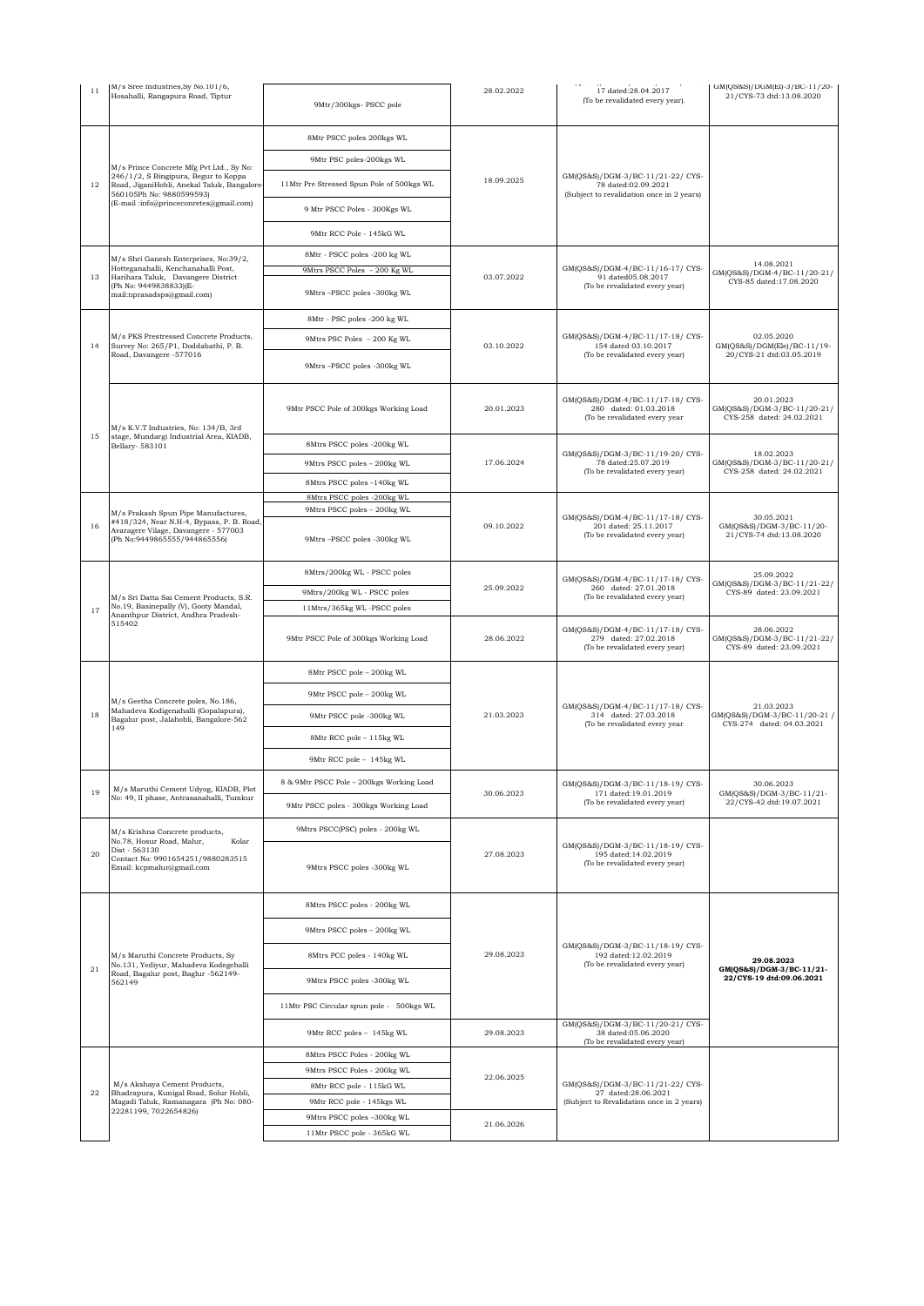| 11 | M/s Sree Industries, Sy No. 101/6,<br>Hosahalli, Rangapura Road, Tiptur                                                                                                                              | 9Mtr/300kgs- PSCC pole                    | 28.02.2022                                                                                              | --- 1,-- --,-- --, ---<br>17 dated:28.04.2017<br>(To be revalidated every year).                     | GM(QS&S)/DGM(El)-3/BC-11/20-<br>21/CYS-73 dtd:13.08.2020               |
|----|------------------------------------------------------------------------------------------------------------------------------------------------------------------------------------------------------|-------------------------------------------|---------------------------------------------------------------------------------------------------------|------------------------------------------------------------------------------------------------------|------------------------------------------------------------------------|
|    |                                                                                                                                                                                                      | 8Mtr PSCC poles 200kgs WL                 |                                                                                                         |                                                                                                      |                                                                        |
| 12 | M/s Prince Concrete Mfg Pvt Ltd., Sy No:<br>246/1/2, S Bingipura, Begur to Koppa<br>Road, JiganiHobli, Anekal Taluk, Bangalore<br>560105Ph No: 9880599593)<br>(E-mail:info@princeconretes@gmail.com) | 9Mtr PSC poles-200kgs WL                  | 18.09.2025                                                                                              |                                                                                                      |                                                                        |
|    |                                                                                                                                                                                                      | 11Mtr Pre Stressed Spun Pole of 500kgs WL |                                                                                                         | GM(QS&S)/DGM-3/BC-11/21-22/ CYS-<br>78 dated:02.09.2021<br>(Subject to revalidation once in 2 years) |                                                                        |
|    |                                                                                                                                                                                                      | 9 Mtr PSCC Poles - 300Kgs WL              |                                                                                                         |                                                                                                      |                                                                        |
|    |                                                                                                                                                                                                      | 9Mtr RCC Pole - 145kG WL                  |                                                                                                         |                                                                                                      |                                                                        |
|    | M/s Shri Ganesh Enterprises, No:39/2,<br>Hotteganahalli, Kenchanahalli Post,<br>Harihara Taluk, Davangere District<br>(Ph No: 9449838833)(E-<br>mail:nprasadsps@gmail.com)                           | 8Mtr - PSCC poles -200 kg WL              | 03.07.2022                                                                                              | GM(QS&S)/DGM-4/BC-11/16-17/CYS-<br>91 dated05.08.2017<br>(To be revalidated every year)              |                                                                        |
| 13 |                                                                                                                                                                                                      | 9Mtrs PSCC Poles - 200 Kg WL              |                                                                                                         |                                                                                                      | 14.08.2021<br>GM(QS&S)/DGM-4/BC-11/20-21/                              |
|    |                                                                                                                                                                                                      | 9Mtrs-PSCC poles -300kg WL                |                                                                                                         |                                                                                                      | CYS-85 dated:17.08.2020                                                |
|    | M/s PKS Prestressed Concrete Products,<br>Survey No: 265/P1, Doddabathi, P. B.                                                                                                                       | 8Mtr - PSC poles -200 kg WL               | 03.10.2022                                                                                              | GM(QS&S)/DGM-4/BC-11/17-18/ CYS-<br>154 dated 03.10.2017<br>(To be revalidated every year)           |                                                                        |
| 14 |                                                                                                                                                                                                      | 9Mtrs PSC Poles - 200 Kg WL               |                                                                                                         |                                                                                                      | 02.05.2020<br>GM(QS&S)/DGM(Ele)/BC-11/19-                              |
|    | Road, Davangere -577016                                                                                                                                                                              | 9Mtrs-PSCC poles -300kg WL                |                                                                                                         |                                                                                                      | 20/CYS-21 dtd:03.05.2019                                               |
|    | M/s K.V.T Industries, No: 134/B, 3rd                                                                                                                                                                 | 9Mtr PSCC Pole of 300kgs Working Load     | 20.01.2023                                                                                              | GM(QS&S)/DGM-4/BC-11/17-18/ CYS-<br>280 dated: 01.03.2018<br>(To be revalidated every year           | 20.01.2023<br>GM(QS&S)/DGM-3/BC-11/20-21/<br>CYS-258 dated: 24.02.2021 |
| 15 | stage, Mundargi Industrial Area, KIADB,<br>Bellary- 583101                                                                                                                                           | 8Mtrs PSCC poles -200kg WL                |                                                                                                         |                                                                                                      |                                                                        |
|    |                                                                                                                                                                                                      | 9Mtrs PSCC poles - 200kg WL               | 17.06.2024                                                                                              | GM(QS&S)/DGM-3/BC-11/19-20/ CYS-<br>78 dated:25.07.2019                                              | 18.02.2023<br>GM(QS&S)/DGM-3/BC-11/20-21/                              |
|    |                                                                                                                                                                                                      | 8Mtrs PSCC poles -140kg WL                |                                                                                                         | (To be revalidated every year)                                                                       | CYS-258 dated: 24.02.2021                                              |
|    |                                                                                                                                                                                                      | 8Mtrs PSCC poles -200kg WL                |                                                                                                         |                                                                                                      |                                                                        |
|    | M/s Prakash Spun Pipe Manufactures,                                                                                                                                                                  | 9Mtrs PSCC poles - 200kg WL               |                                                                                                         | GM(OS&S)/DGM-4/BC-11/17-18/ CYS-<br>201 dated: 25.11.2017<br>(To be revalidated every year)          | 30.05.2021                                                             |
| 16 | #418/324, Near N.H-4, Bypass, P. B. Road,<br>Avaragere Vilage, Davangere - 577003<br>(Ph No:9449865555/944865556)                                                                                    | 9Mtrs -PSCC poles -300kg WL               | 09.10.2022                                                                                              |                                                                                                      | GM(QS&S)/DGM-3/BC-11/20-<br>21/CYS-74 dtd:13.08.2020                   |
|    | M/s Sri Datta Sai Cement Products, S.R.<br>No.19, Basinepally (V), Gooty Mandal,<br>Ananthpur District, Andhra Pradesh-<br>515402                                                                    | 8Mtrs/200kg WL - PSCC poles               | 25.09.2022                                                                                              | GM(QS&S)/DGM-4/BC-11/17-18/CYS-<br>260 dated: 27.01.2018<br>(To be revalidated every year)           | 25.09.2022                                                             |
|    |                                                                                                                                                                                                      | 9Mtrs/200kg WL - PSCC poles               |                                                                                                         |                                                                                                      | GM(QS&S)/DGM-3/BC-11/21-22/<br>CYS-89 dated: 23.09.2021                |
| 17 |                                                                                                                                                                                                      | 11Mtrs/365kg WL-PSCC poles                |                                                                                                         |                                                                                                      |                                                                        |
|    |                                                                                                                                                                                                      | 9Mtr PSCC Pole of 300kgs Working Load     | 28.06.2022                                                                                              | GM(QS&S)/DGM-4/BC-11/17-18/ CYS-<br>279 dated: 27.02.2018<br>(To be revalidated every year)          | 28.06.2022<br>GM(QS&S)/DGM-3/BC-11/21-22/<br>CYS-89 dated: 23.09.2021  |
|    |                                                                                                                                                                                                      | 8Mtr PSCC pole - 200kg WL                 | 21.03.2023                                                                                              | GM(QS&S)/DGM-4/BC-11/17-18/ CYS-<br>314 dated: 27.03.2018<br>(To be revalidated every year           |                                                                        |
|    |                                                                                                                                                                                                      | 9Mtr PSCC pole - 200kg WL                 |                                                                                                         |                                                                                                      |                                                                        |
| 18 | M/s Geetha Concrete poles, No.186,<br>Mahadeva Kodigenahalli (Gopalapura),<br>Bagalur post, Jalahobli, Bangalore-562                                                                                 | 9Mtr PSCC pole -300kg WL                  |                                                                                                         |                                                                                                      | 21.03.2023<br>GM(QS&S)/DGM-3/BC-11/20-21 /                             |
|    | 149                                                                                                                                                                                                  | 8Mtr RCC pole - 115kg WL                  |                                                                                                         |                                                                                                      | CYS-274 dated: 04.03.2021                                              |
|    |                                                                                                                                                                                                      | 9Mtr RCC pole - 145kg WL                  |                                                                                                         |                                                                                                      |                                                                        |
|    |                                                                                                                                                                                                      | 8 & 9Mtr PSCC Pole - 200kgs Working Load  | 30.06.2023                                                                                              | GM(QS&S)/DGM-3/BC-11/18-19/CYS-<br>171 dated:19.01.2019<br>(To be revalidated every year)            | 30.06.2023<br>GM(QS&S)/DGM-3/BC-11/21-<br>22/CYS-42 dtd:19.07.2021     |
| 19 | M/s Maruthi Cement Udyog, KIADB, Plot<br>No: 49, II phase, Antrasanahalli, Tumkur                                                                                                                    | 9Mtr PSCC poles - 300kgs Working Load     |                                                                                                         |                                                                                                      |                                                                        |
|    |                                                                                                                                                                                                      |                                           |                                                                                                         |                                                                                                      |                                                                        |
|    | M/s Krishna Concrete products,<br>No.78, Hosur Road, Malur,<br>Kolar<br>Dist - 563130<br>Contact No: 9901654251/9880283515<br>Email: kcpmalur@gmail.com                                              | 9Mtrs PSCC(PSC) poles - 200kg WL          | GM(QS&S)/DGM-3/BC-11/18-19/CYS-<br>27.08.2023<br>195 dated:14.02.2019<br>(To be revalidated every year) |                                                                                                      |                                                                        |
| 20 |                                                                                                                                                                                                      | 9Mtrs PSCC poles -300kg WL                |                                                                                                         |                                                                                                      |                                                                        |
|    | M/s Maruthi Concrete Products, Sy                                                                                                                                                                    | 8Mtrs PSCC poles - 200kg WL               |                                                                                                         | GM(QS&S)/DGM-3/BC-11/18-19/CYS-<br>192 dated:12.02.2019<br>(To be revalidated every year)            |                                                                        |
|    |                                                                                                                                                                                                      | 9Mtrs PSCC poles - 200kg WL               | 29.08.2023                                                                                              |                                                                                                      |                                                                        |
|    |                                                                                                                                                                                                      | 8Mtrs PCC poles - 140kg WL                |                                                                                                         |                                                                                                      | 29.08.2023                                                             |
| 21 | No.131, Yediyur, Mahadeva Kodegehalli<br>Road, Bagalur post, Baglur -562149-<br>562149                                                                                                               | 9Mtrs PSCC poles -300kg WL                |                                                                                                         |                                                                                                      | GM(QS&S)/DGM-3/BC-11/21-<br>22/CYS-19 dtd:09.06.2021                   |
|    |                                                                                                                                                                                                      | 11Mtr PSC Circular spun pole - 500kgs WL  |                                                                                                         |                                                                                                      |                                                                        |
|    |                                                                                                                                                                                                      | 9Mtr RCC poles - 145kg WL                 | 29.08.2023                                                                                              | GM(QS&S)/DGM-3/BC-11/20-21/ CYS-<br>38 dated:05.06.2020<br>(To be revalidated every year)            |                                                                        |
|    |                                                                                                                                                                                                      | 8Mtrs PSCC Poles - 200kg WL               | 22.06.2025<br>21.06.2026                                                                                | GM(QS&S)/DGM-3/BC-11/21-22/ CYS-<br>27 dated:28.06.2021<br>(Subject to Revalidation once in 2 years) |                                                                        |
| 22 |                                                                                                                                                                                                      | 9Mtrs PSCC Poles - 200kg WL               |                                                                                                         |                                                                                                      |                                                                        |
|    | M/s Akshaya Cement Products,<br>Bhadrapura, Kunigal Road, Solur Hobli,<br>Magadi Taluk, Ramanagara (Ph No: 080-<br>22281199, 7022654826)                                                             | 8Mtr RCC pole - 115kG WL                  |                                                                                                         |                                                                                                      |                                                                        |
|    |                                                                                                                                                                                                      | 9Mtr RCC pole - 145kgs WL                 |                                                                                                         |                                                                                                      |                                                                        |
|    |                                                                                                                                                                                                      | 9Mtrs PSCC poles -300kg WL                |                                                                                                         |                                                                                                      |                                                                        |
|    |                                                                                                                                                                                                      | 11Mtr PSCC pole - 365kG WL                |                                                                                                         |                                                                                                      |                                                                        |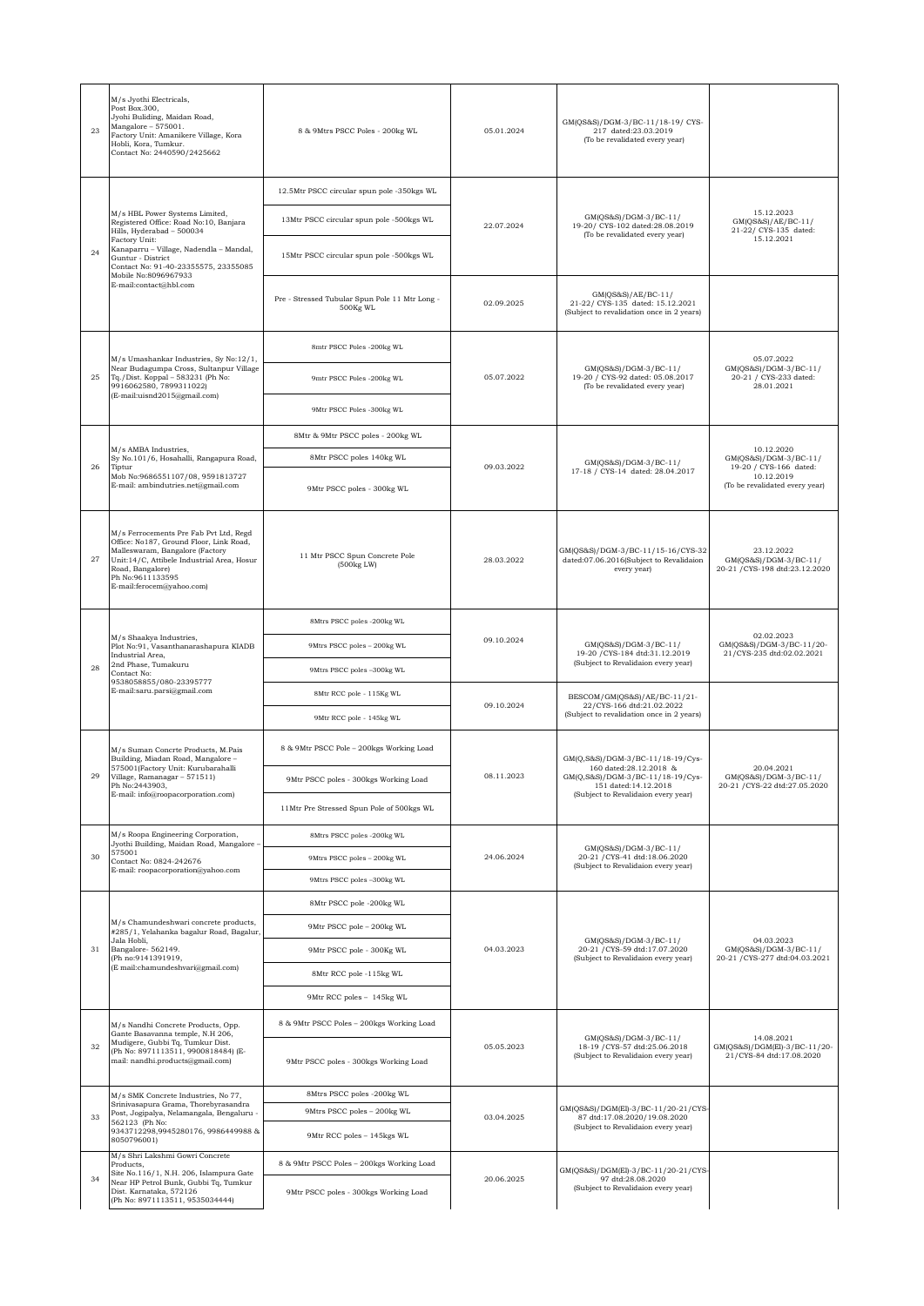| 23 | M/s Jyothi Electricals,<br>Post Box.300,<br>Jyohi Buliding, Maidan Road,<br>Mangalore - 575001.<br>Factory Unit: Amanikere Village, Kora<br>Hobli, Kora, Tumkur.<br>Contact No: 2440590/2425662                                                                                  | 8 & 9Mtrs PSCC Poles - 200kg WL                            | 05.01.2024 | GM(QS&S)/DGM-3/BC-11/18-19/CYS-<br>217 dated:23.03.2019<br>(To be revalidated every year)                                                                     |                                                                             |
|----|----------------------------------------------------------------------------------------------------------------------------------------------------------------------------------------------------------------------------------------------------------------------------------|------------------------------------------------------------|------------|---------------------------------------------------------------------------------------------------------------------------------------------------------------|-----------------------------------------------------------------------------|
|    |                                                                                                                                                                                                                                                                                  | 12.5Mtr PSCC circular spun pole -350kgs WL                 |            |                                                                                                                                                               |                                                                             |
| 24 | M/s HBL Power Systems Limited,<br>Registered Office: Road No:10, Banjara<br>Hills, Hyderabad - 500034<br>Factory Unit:<br>Kanaparru - Village, Nadendla - Mandal,<br>Guntur - District<br>Contact No: 91-40-23355575, 23355085<br>Mobile No:8096967933<br>E-mail:contact@hbl.com | 13Mtr PSCC circular spun pole -500kgs WL                   | 22.07.2024 | GM(QS&S)/DGM-3/BC-11/<br>19-20/ CYS-102 dated:28.08.2019<br>(To be revalidated every year)                                                                    | 15.12.2023<br>GM(QS&S)/AE/BC-11/<br>21-22/ CYS-135 dated:<br>15.12.2021     |
|    |                                                                                                                                                                                                                                                                                  | 15Mtr PSCC circular spun pole -500kgs WL                   |            |                                                                                                                                                               |                                                                             |
|    |                                                                                                                                                                                                                                                                                  | Pre - Stressed Tubular Spun Pole 11 Mtr Long -<br>500Kg WL | 02.09.2025 | GM(QS&S)/AE/BC-11/<br>21-22/ CYS-135 dated: 15.12.2021<br>(Subject to revalidation once in 2 years)                                                           |                                                                             |
|    |                                                                                                                                                                                                                                                                                  | 8mtr PSCC Poles -200kg WL                                  | 05.07.2022 | GM(QS&S)/DGM-3/BC-11/<br>19-20 / CYS-92 dated: 05.08.2017<br>(To be revalidated every year)                                                                   | 05.07.2022<br>GM(QS&S)/DGM-3/BC-11/<br>20-21 / CYS-233 dated:<br>28.01.2021 |
| 25 | M/s Umashankar Industries, Sy No:12/1,<br>Near Budagumpa Cross, Sultanpur Village<br>Tq./Dist. Koppal - 583231 (Ph No:<br>9916062580, 7899311022)<br>(E-mail:uisnd2015@gmail.com)                                                                                                | 9mtr PSCC Poles -200kg WL                                  |            |                                                                                                                                                               |                                                                             |
|    |                                                                                                                                                                                                                                                                                  | 9Mtr PSCC Poles -300kg WL                                  |            |                                                                                                                                                               |                                                                             |
|    |                                                                                                                                                                                                                                                                                  | 8Mtr & 9Mtr PSCC poles - 200kg WL                          |            |                                                                                                                                                               |                                                                             |
| 26 | M/s AMBA Industries,<br>Sy No.101/6, Hosahalli, Rangapura Road,<br>Tiptur                                                                                                                                                                                                        | 8Mtr PSCC poles 140kg WL                                   | 09.03.2022 | GM(QS&S)/DGM-3/BC-11/                                                                                                                                         | 10.12.2020<br>GM(QS&S)/DGM-3/BC-11/<br>19-20 / CYS-166 dated:               |
|    | Mob No:9686551107/08, 9591813727<br>E-mail: ambindutries.net@gmail.com                                                                                                                                                                                                           | 9Mtr PSCC poles - 300kg WL                                 |            | 17-18 / CYS-14 dated: 28.04.2017                                                                                                                              | 10.12.2019<br>(To be revalidated every year)                                |
| 27 | M/s Ferrocements Pre Fab Pvt Ltd, Regd<br>Office: No187, Ground Floor, Link Road,<br>Malleswaram, Bangalore (Factory<br>Unit:14/C, Attibele Industrial Area, Hosur<br>Road, Bangalore)<br>Ph No:9611133595<br>E-mail:ferocem@yahoo.com)                                          | 11 Mtr PSCC Spun Concrete Pole<br>(500kg LW)               | 28.03.2022 | GM(QS&S)/DGM-3/BC-11/15-16/CYS-32<br>dated:07.06.2016(Subject to Revalidaion<br>every year)                                                                   | 23.12.2022<br>GM(QS&S)/DGM-3/BC-11/<br>20-21 / CYS-198 dtd:23.12.2020       |
|    | M/s Shaakya Industries,<br>Plot No:91, Vasanthanarashapura KIADB<br>Industrial Area,<br>2nd Phase, Tumakuru<br>Contact No:<br>9538058855/080-23395777<br>E-mail:saru.parsi@gmail.com                                                                                             | 8Mtrs PSCC poles -200kg WL                                 | 09.10.2024 | GM(QS&S)/DGM-3/BC-11/<br>19-20 / CYS-184 dtd:31.12.2019<br>(Subject to Revalidaion every year)                                                                |                                                                             |
|    |                                                                                                                                                                                                                                                                                  | 9Mtrs PSCC poles - 200kg WL                                |            |                                                                                                                                                               | 02.02.2023<br>GM(QS&S)/DGM-3/BC-11/20-                                      |
| 28 |                                                                                                                                                                                                                                                                                  | 9Mtrs PSCC poles -300kg WL                                 |            |                                                                                                                                                               | 21/CYS-235 dtd:02.02.2021                                                   |
|    |                                                                                                                                                                                                                                                                                  | 8Mtr RCC pole - 115Kg WL                                   |            | BESCOM/GM(QS&S)/AE/BC-11/21-<br>22/CYS-166 dtd:21.02.2022<br>(Subject to revalidation once in 2 years)                                                        |                                                                             |
|    |                                                                                                                                                                                                                                                                                  | 9Mtr RCC pole - 145kg WL                                   | 09.10.2024 |                                                                                                                                                               |                                                                             |
|    | M/s Suman Concrte Products, M.Pais<br>Building, Miadan Road, Mangalore -<br>575001(Factory Unit: Kurubarahalli<br>Village, Ramanagar – 571511)<br>Ph No:2443903,<br>E-mail: info@roopacorporation.com)                                                                           | 8 & 9Mtr PSCC Pole - 200kgs Working Load                   | 08.11.2023 | GM(Q,S&S)/DGM-3/BC-11/18-19/Cys-<br>160 dated:28.12.2018 &<br>GM(Q,S&S)/DGM-3/BC-11/18-19/Cys-<br>151 dated:14.12.2018<br>(Subject to Revalidaion every year) | 20.04.2021                                                                  |
| 29 |                                                                                                                                                                                                                                                                                  | 9Mtr PSCC poles - 300kgs Working Load                      |            |                                                                                                                                                               | $GM(QS&S)/DGM-3/BC-11/$<br>20-21 / CYS-22 dtd:27.05.2020                    |
|    |                                                                                                                                                                                                                                                                                  | 11Mtr Pre Stressed Spun Pole of 500kgs WL                  |            |                                                                                                                                                               |                                                                             |
|    | M/s Roopa Engineering Corporation,<br>Jyothi Building, Maidan Road, Mangalore -<br>575001<br>Contact No: 0824-242676<br>E-mail: roopacorporation@yahoo.com                                                                                                                       | 8Mtrs PSCC poles -200kg WL                                 | 24.06.2024 | GM(QS&S)/DGM-3/BC-11/<br>20-21 / CYS-41 dtd:18.06.2020<br>(Subject to Revalidaion every year)                                                                 |                                                                             |
| 30 |                                                                                                                                                                                                                                                                                  | 9Mtrs PSCC poles - 200kg WL                                |            |                                                                                                                                                               |                                                                             |
|    |                                                                                                                                                                                                                                                                                  | 9Mtrs PSCC poles -300kg WL                                 |            |                                                                                                                                                               |                                                                             |
|    | M/s Chamundeshwari concrete products,                                                                                                                                                                                                                                            | 8Mtr PSCC pole -200kg WL<br>9Mtr PSCC pole - 200kg WL      |            | GM(QS&S)/DGM-3/BC-11/<br>20-21 / CYS-59 dtd:17.07.2020<br>(Subject to Revalidaion every year)                                                                 |                                                                             |
| 31 | #285/1, Yelahanka bagalur Road, Bagalur,<br>Jala Hobli,<br>Bangalore- 562149.                                                                                                                                                                                                    | 9Mtr PSCC pole - 300Kg WL                                  | 04.03.2023 |                                                                                                                                                               | 04.03.2023<br>GM(QS&S)/DGM-3/BC-11/                                         |
|    | (Ph no:9141391919,<br>(E mail:chamundeshvari@gmail.com)                                                                                                                                                                                                                          | 8Mtr RCC pole -115kg WL                                    |            |                                                                                                                                                               | 20-21 / CYS-277 dtd:04.03.2021                                              |
|    |                                                                                                                                                                                                                                                                                  | 9Mtr RCC poles - 145kg WL                                  |            |                                                                                                                                                               |                                                                             |
| 32 | M/s Nandhi Concrete Products, Opp.<br>Gante Basavanna temple, N.H 206,<br>Mudigere, Gubbi Tq, Tumkur Dist.<br>(Ph No: 8971113511, 9900818484) (E-<br>mail: nandhi.products@gmail.com)                                                                                            | 8 & 9Mtr PSCC Poles - 200kgs Working Load                  | 05.05.2023 | GM(QS&S)/DGM-3/BC-11/<br>18-19 / CYS-57 dtd:25.06.2018<br>(Subject to Revalidaion every year)                                                                 |                                                                             |
|    |                                                                                                                                                                                                                                                                                  | 9Mtr PSCC poles - 300kgs Working Load                      |            |                                                                                                                                                               | 14.08.2021<br>GM(QS&S)/DGM(El)-3/BC-11/20-<br>21/CYS-84 dtd:17.08.2020      |
| 33 | M/s SMK Concrete Industries, No 77,<br>Srinivasapura Grama, Thorebyrasandra<br>Post, Jogipalya, Nelamangala, Bengaluru -<br>562123 (Ph No:<br>9343712298,9945280176, 9986449988 &<br>8050796001)                                                                                 | 8Mtrs PSCC poles -200kg WL                                 | 03.04.2025 | GM(QS&S)/DGM(El)-3/BC-11/20-21/CYS-<br>87 dtd:17.08.2020/19.08.2020<br>(Subject to Revalidaion every year)                                                    |                                                                             |
|    |                                                                                                                                                                                                                                                                                  | 9Mtrs PSCC poles - 200kg WL                                |            |                                                                                                                                                               |                                                                             |
|    |                                                                                                                                                                                                                                                                                  | 9Mtr RCC poles - 145kgs WL                                 |            |                                                                                                                                                               |                                                                             |
|    | M/s Shri Lakshmi Gowri Concrete<br>Products,<br>Site No.116/1, N.H. 206, Islampura Gate                                                                                                                                                                                          | 8 & 9Mtr PSCC Poles - 200kgs Working Load                  | 20.06.2025 | GM(QS&S)/DGM(El)-3/BC-11/20-21/CYS-<br>97 dtd:28.08.2020<br>(Subject to Revalidaion every year)                                                               |                                                                             |
| 34 | Near HP Petrol Bunk, Gubbi Tq, Tumkur<br>Dist. Karnataka, 572126<br>(Ph No: 8971113511, 9535034444)                                                                                                                                                                              | 9Mtr PSCC poles - 300kgs Working Load                      |            |                                                                                                                                                               |                                                                             |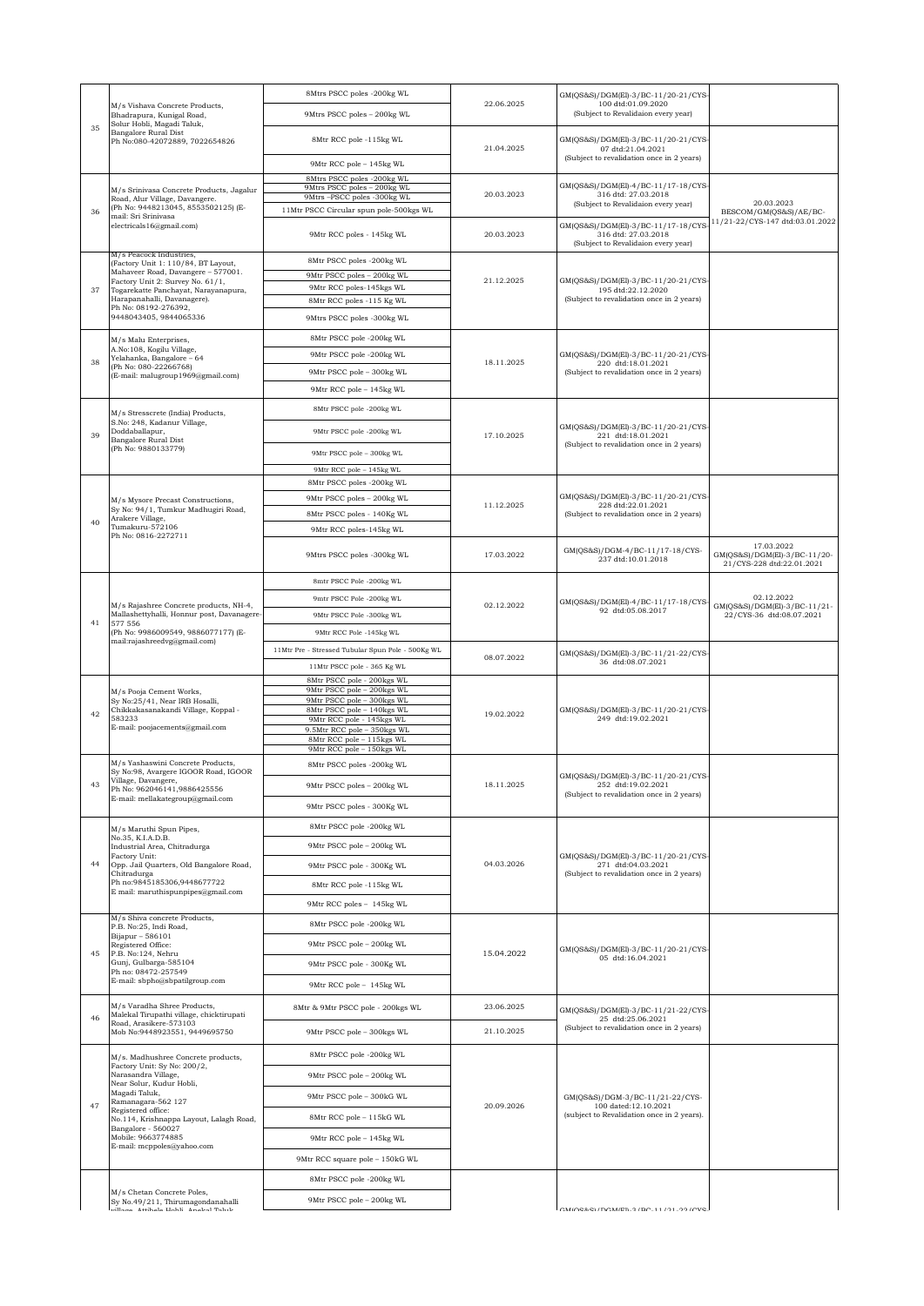|    |                                                                                      | 8Mtrs PSCC poles -200kg WL                                            |            | GM(QS&S)/DGM(El)-3/BC-11/20-21/CYS-                                                              |                                                                         |
|----|--------------------------------------------------------------------------------------|-----------------------------------------------------------------------|------------|--------------------------------------------------------------------------------------------------|-------------------------------------------------------------------------|
|    | M/s Vishava Concrete Products,<br>Bhadrapura, Kunigal Road,                          | 9Mtrs PSCC poles - 200kg WL                                           | 22.06.2025 | 100 dtd:01.09.2020<br>(Subject to Revalidaion every year)                                        |                                                                         |
| 35 | Solur Hobli, Magadi Taluk,<br>Bangalore Rural Dist<br>Ph No:080-42072889, 7022654826 | 8Mtr RCC pole -115kg WL                                               |            | GM(QS&S)/DGM(El)-3/BC-11/20-21/CYS-                                                              |                                                                         |
|    |                                                                                      |                                                                       | 21.04.2025 | 07 dtd:21.04.2021<br>(Subject to revalidation once in 2 years)                                   |                                                                         |
|    |                                                                                      | 9Mtr RCC pole - 145kg WL<br>8Mtrs PSCC poles -200kg WL                |            |                                                                                                  |                                                                         |
|    | M/s Srinivasa Concrete Products, Jagalur                                             | 9Mtrs PSCC poles - 200kg WL                                           | 20.03.2023 | GM(QS&S)/DGM(El)-4/BC-11/17-18/CYS-<br>316 dtd: 27.03.2018                                       |                                                                         |
| 36 | Road, Alur Village, Davangere.<br>(Ph No: 9448213045, 8553502125) (E-                | 9Mtrs-PSCC poles -300kg WL<br>11Mtr PSCC Circular spun pole-500kgs WL |            | (Subject to Revalidaion every year)                                                              | 20.03.2023<br>BESCOM/GM(QS&S)/AE/BC-                                    |
|    | mail: Sri Srinivasa<br>electricals16@gmail.com)                                      | 9Mtr RCC poles - 145kg WL                                             | 20.03.2023 | GM(QS&S)/DGM(El)-3/BC-11/17-18/CYS<br>316 dtd: 27.03.2018<br>(Subject to Revalidaion every year) | 11/21-22/CYS-147 dtd:03.01.2022                                         |
|    | M/s Peacock Industries,                                                              | 8Mtr PSCC poles -200kg WL                                             |            |                                                                                                  |                                                                         |
|    | (Factory Unit 1: 110/84, BT Layout,<br>Mahaveer Road, Davangere - 577001.            | 9Mtr PSCC poles - 200kg WL                                            |            |                                                                                                  |                                                                         |
| 37 | Factory Unit 2: Survey No. 61/1,<br>Togarekatte Panchayat, Narayanapura,             | 9Mtr RCC poles-145kgs WL                                              | 21.12.2025 | GM(QS&S)/DGM(El)-3/BC-11/20-21/CYS-<br>195 dtd:22.12.2020                                        |                                                                         |
|    | Harapanahalli, Davanagere).<br>Ph No: 08192-276392,                                  | 8Mtr RCC poles -115 Kg WL                                             |            | (Subject to revalidation once in 2 years)                                                        |                                                                         |
|    | 9448043405, 9844065336                                                               | 9Mtrs PSCC poles -300kg WL                                            |            |                                                                                                  |                                                                         |
|    | M/s Malu Enterprises,<br>A.No:108, Kogilu Village,                                   | 8Mtr PSCC pole -200kg WL                                              |            |                                                                                                  |                                                                         |
| 38 | Yelahanka, Bangalore - 64<br>(Ph No: 080-22266768)                                   | 9Mtr PSCC pole -200kg WL                                              | 18.11.2025 | GM(QS&S)/DGM(El)-3/BC-11/20-21/CYS<br>220 dtd:18.01.2021                                         |                                                                         |
|    | (E-mail: malugroup1969@gmail.com)                                                    | 9Mtr PSCC pole - 300kg WL                                             |            | (Subject to revalidation once in 2 years)                                                        |                                                                         |
|    |                                                                                      | 9Mtr RCC pole - 145kg WL                                              |            |                                                                                                  |                                                                         |
|    | M/s Stresscrete (India) Products,                                                    | 8Mtr PSCC pole -200kg WL                                              |            |                                                                                                  |                                                                         |
| 39 | S.No: 248, Kadanur Village,<br>Doddaballapur,                                        | 9Mtr PSCC pole -200kg WL                                              | 17.10.2025 | GM(QS&S)/DGM(El)-3/BC-11/20-21/CYS-<br>221 dtd:18.01.2021                                        |                                                                         |
|    | Bangalore Rural Dist<br>(Ph No: 9880133779)                                          | 9Mtr PSCC pole - 300kg WL                                             |            | (Subject to revalidation once in 2 years)                                                        |                                                                         |
|    |                                                                                      | 9Mtr RCC pole - 145kg WL                                              |            |                                                                                                  |                                                                         |
|    |                                                                                      | 8Mtr PSCC poles -200kg WL                                             |            |                                                                                                  |                                                                         |
|    | M/s Mysore Precast Constructions,                                                    | 9Mtr PSCC poles - 200kg WL                                            | 11.12.2025 | GM(QS&S)/DGM(El)-3/BC-11/20-21/CYS<br>228 dtd:22.01.2021                                         |                                                                         |
|    | Sy No: 94/1, Tumkur Madhugiri Road,<br>Arakere Village,                              | 8Mtr PSCC poles - 140Kg WL                                            |            | (Subject to revalidation once in 2 years)                                                        |                                                                         |
|    | Tumakuru-572106<br>Ph No: 0816-2272711                                               | 9Mtr RCC poles-145kg WL                                               |            |                                                                                                  |                                                                         |
|    |                                                                                      | 9Mtrs PSCC poles -300kg WL                                            | 17.03.2022 | GM(QS&S)/DGM-4/BC-11/17-18/CYS-<br>237 dtd:10.01.2018                                            | 17.03.2022<br>GM(QS&S)/DGM(El)-3/BC-11/20-<br>21/CYS-228 dtd:22.01.2021 |
|    |                                                                                      | 8mtr PSCC Pole -200kg WL                                              |            |                                                                                                  |                                                                         |
|    | M/s Rajashree Concrete products, NH-4,                                               | 9mtr PSCC Pole -200kg WL                                              | 02.12.2022 | GM(QS&S)/DGM(El)-4/BC-11/17-18/CYS-                                                              | 02.12.2022<br>GM(QS&S)/DGM(El)-3/BC-11/21-                              |
| 41 | Mallashettyhalli, Honnur post, Davanagere-<br>577 556                                | 9Mtr PSCC Pole -300kg WL                                              |            | 92 dtd:05.08.2017                                                                                | 22/CYS-36 dtd:08.07.2021                                                |
|    | (Ph No: 9986009549, 9886077177) (E-<br>mail:rajashreedvg@gmail.com)                  | 9Mtr RCC Pole -145kg WL                                               |            |                                                                                                  |                                                                         |
|    |                                                                                      | 11Mtr Pre - Stressed Tubular Spun Pole - 500Kg WL                     | 08.07.2022 | GM(QS&S)/DGM(El)-3/BC-11/21-22/CYS-<br>36 dtd:08.07.2021                                         |                                                                         |
|    |                                                                                      | 11Mtr PSCC pole - 365 Kg WL<br>8Mtr PSCC pole - 200kgs WL             |            |                                                                                                  |                                                                         |
|    | M/s Pooja Cement Works,                                                              | 9Mtr PSCC pole - 200kgs WL                                            |            |                                                                                                  |                                                                         |
| 42 | Sy No:25/41, Near IRB Hosalli,<br>Chikkakasanakandi Village, Koppal -                | 9Mtr PSCC pole - 300kgs WL<br>8Mtr PSCC pole - 140kgs WL              | 19.02.2022 | GM(QS&S)/DGM(El)-3/BC-11/20-21/CYS-                                                              |                                                                         |
|    | 583233<br>E-mail: poojacements@gmail.com                                             | 9Mtr RCC pole - 145kgs WL<br>9.5Mtr RCC pole - 350kgs WL              |            | 249 dtd:19.02.2021                                                                               |                                                                         |
|    |                                                                                      | 8Mtr RCC pole - 115kgs WL<br>9Mtr RCC pole - 150kgs WL                |            |                                                                                                  |                                                                         |
|    | M/s Yashaswini Concrete Products,                                                    | 8Mtr PSCC poles -200kg WL                                             |            |                                                                                                  |                                                                         |
| 43 | Sy No:98, Avargere IGOOR Road, IGOOR<br>Village, Davangere,                          | 9Mtr PSCC poles - 200kg WL                                            | 18.11.2025 | GM(QS&S)/DGM(El)-3/BC-11/20-21/CYS-<br>252 dtd:19.02.2021                                        |                                                                         |
|    | Ph No: 962046141,9886425556<br>E-mail: mellakategroup@gmail.com                      | 9Mtr PSCC poles - 300Kg WL                                            |            | (Subject to revalidation once in 2 years)                                                        |                                                                         |
|    |                                                                                      | 8Mtr PSCC pole -200kg WL                                              |            |                                                                                                  |                                                                         |
|    | M/s Maruthi Spun Pipes,<br>No.35, K.I.A.D.B.                                         | 9Mtr PSCC pole - 200kg WL                                             |            |                                                                                                  |                                                                         |
|    | Industrial Area, Chitradurga<br>Factory Unit:                                        |                                                                       |            | GM(QS&S)/DGM(El)-3/BC-11/20-21/CYS-                                                              |                                                                         |
| 44 | Opp. Jail Quarters, Old Bangalore Road,<br>Chitradurga                               | 9Mtr PSCC pole - 300Kg WL                                             | 04.03.2026 | 271 dtd:04.03.2021<br>(Subject to revalidation once in 2 years)                                  |                                                                         |
|    | Ph no:9845185306,9448677722<br>E mail: maruthispunpipes@gmail.com                    | 8Mtr RCC pole -115kg WL                                               |            |                                                                                                  |                                                                         |
|    |                                                                                      | 9Mtr RCC poles - 145kg WL                                             |            |                                                                                                  |                                                                         |
|    | M/s Shiva concrete Products,<br>P.B. No:25, Indi Road,<br>Bijapur - 586101           | 8Mtr PSCC pole -200kg WL                                              |            |                                                                                                  |                                                                         |
| 45 | Registered Office:                                                                   | 9Mtr PSCC pole - 200kg WL                                             |            | GM(QS&S)/DGM(El)-3/BC-11/20-21/CYS-                                                              |                                                                         |
|    | P.B. No:124, Nehru<br>Gunj, Gulbarga-585104                                          | 9Mtr PSCC pole - 300Kg WL                                             | 15.04.2022 | 05 dtd:16.04.2021                                                                                |                                                                         |
|    | Ph no: 08472-257549<br>E-mail: sbpho@sbpatilgroup.com                                | 9Mtr RCC pole - 145kg WL                                              |            |                                                                                                  |                                                                         |
|    | M/s Varadha Shree Products,                                                          |                                                                       | 23.06.2025 |                                                                                                  |                                                                         |
| 46 | Malekal Tirupathi village, chicktirupati<br>Road, Arasikere-573103                   | 8Mtr & 9Mtr PSCC pole - 200kgs WL                                     |            | GM(QS&S)/DGM(El)-3/BC-11/21-22/CYS-<br>25 dtd:25.06.2021                                         |                                                                         |
|    | Mob No:9448923551, 9449695750                                                        | 9Mtr PSCC pole - 300kgs WL                                            | 21.10.2025 | (Subject to revalidation once in 2 years)                                                        |                                                                         |
|    | M/s. Madhushree Concrete products,<br>Factory Unit: Sy No: 200/2,                    | 8Mtr PSCC pole -200kg WL                                              |            |                                                                                                  |                                                                         |
|    | Narasandra Village,<br>Near Solur, Kudur Hobli,                                      | 9Mtr PSCC pole - 200kg WL                                             |            |                                                                                                  |                                                                         |
|    | Magadi Taluk,<br>Ramanagara-562 127                                                  | 9Mtr PSCC pole - 300kG WL                                             |            | GM(QS&S)/DGM-3/BC-11/21-22/CYS-                                                                  |                                                                         |
| 47 | Registered office:<br>No.114, Krishnappa Layout, Lalagh Road,                        | 8Mtr RCC pole - 115kG WL                                              | 20.09.2026 | 100 dated:12.10.2021<br>(subject to Revalidation once in 2 years).                               |                                                                         |
|    | Bangalore - 560027<br>Mobile: 9663774885                                             | 9Mtr RCC pole - 145kg WL                                              |            |                                                                                                  |                                                                         |
|    | E-mail: mcppoles@yahoo.com                                                           |                                                                       |            |                                                                                                  |                                                                         |
|    |                                                                                      | 9Mtr RCC square pole - 150kG WL                                       |            |                                                                                                  |                                                                         |
|    | M/s Chetan Concrete Poles,                                                           | 8Mtr PSCC pole -200kg WL                                              |            |                                                                                                  |                                                                         |
|    | Sy No.49/211, Thirumagondanahalli<br>uillono. Attibolo Mobii. Anoltol Tobels         | 9Mtr PSCC pole - 200kg WL                                             |            | CMICOSO IDOMIER 27DO 11701-0070VO                                                                |                                                                         |